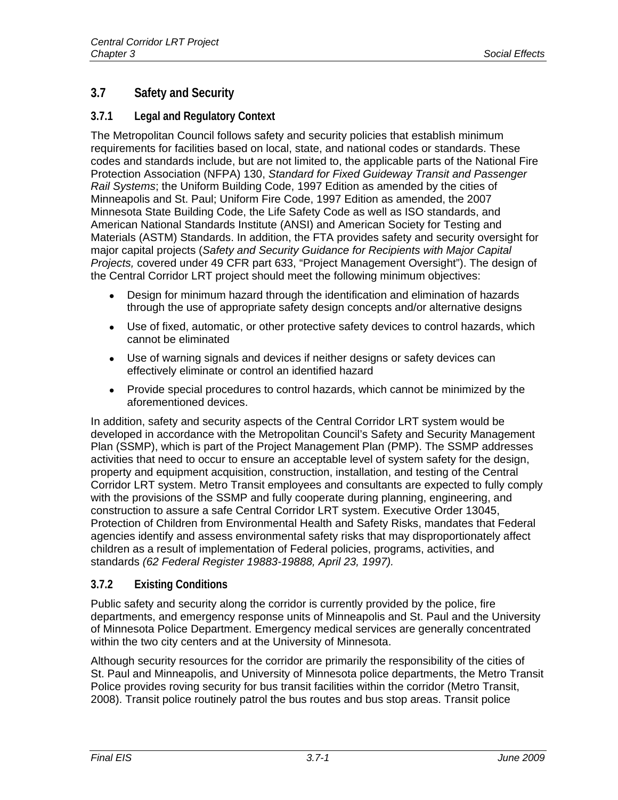# **3.7 Safety and Security**

# **3.7.1 Legal and Regulatory Context**

The Metropolitan Council follows safety and security policies that establish minimum requirements for facilities based on local, state, and national codes or standards. These codes and standards include, but are not limited to, the applicable parts of the National Fire Protection Association (NFPA) 130, *Standard for Fixed Guideway Transit and Passenger Rail Systems*; the Uniform Building Code, 1997 Edition as amended by the cities of Minneapolis and St. Paul; Uniform Fire Code, 1997 Edition as amended, the 2007 Minnesota State Building Code, the Life Safety Code as well as ISO standards, and American National Standards Institute (ANSI) and American Society for Testing and Materials (ASTM) Standards. In addition, the FTA provides safety and security oversight for major capital projects (*Safety and Security Guidance for Recipients with Major Capital Projects,* covered under 49 CFR part 633, "Project Management Oversight"). The design of the Central Corridor LRT project should meet the following minimum objectives:

- Design for minimum hazard through the identification and elimination of hazards through the use of appropriate safety design concepts and/or alternative designs
- Use of fixed, automatic, or other protective safety devices to control hazards, which cannot be eliminated
- Use of warning signals and devices if neither designs or safety devices can effectively eliminate or control an identified hazard
- Provide special procedures to control hazards, which cannot be minimized by the aforementioned devices.

In addition, safety and security aspects of the Central Corridor LRT system would be developed in accordance with the Metropolitan Council's Safety and Security Management Plan (SSMP), which is part of the Project Management Plan (PMP). The SSMP addresses activities that need to occur to ensure an acceptable level of system safety for the design, property and equipment acquisition, construction, installation, and testing of the Central Corridor LRT system. Metro Transit employees and consultants are expected to fully comply with the provisions of the SSMP and fully cooperate during planning, engineering, and construction to assure a safe Central Corridor LRT system. Executive Order 13045, Protection of Children from Environmental Health and Safety Risks, mandates that Federal agencies identify and assess environmental safety risks that may disproportionately affect children as a result of implementation of Federal policies, programs, activities, and standards *(62 Federal Register 19883-19888, April 23, 1997).* 

# **3.7.2 Existing Conditions**

Public safety and security along the corridor is currently provided by the police, fire departments, and emergency response units of Minneapolis and St. Paul and the University of Minnesota Police Department. Emergency medical services are generally concentrated within the two city centers and at the University of Minnesota.

Although security resources for the corridor are primarily the responsibility of the cities of St. Paul and Minneapolis, and University of Minnesota police departments, the Metro Transit Police provides roving security for bus transit facilities within the corridor (Metro Transit, 2008). Transit police routinely patrol the bus routes and bus stop areas. Transit police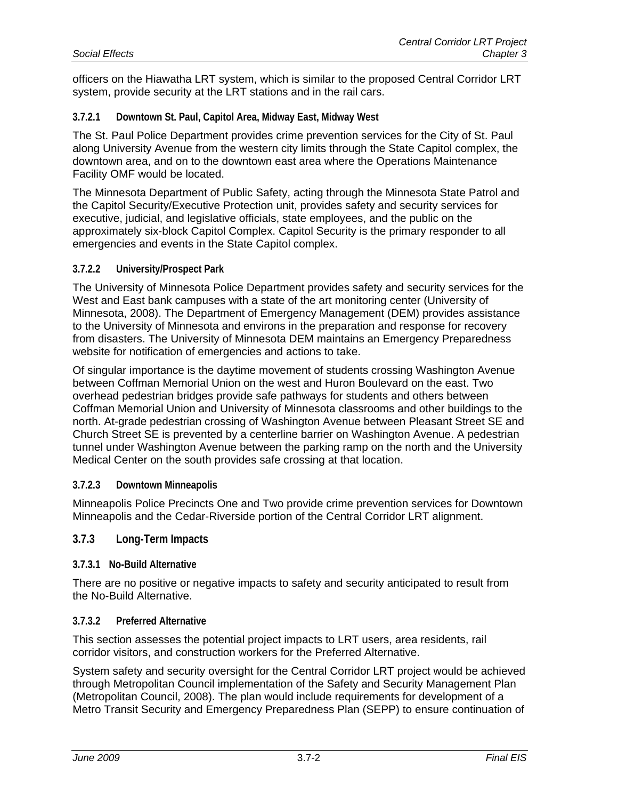officers on the Hiawatha LRT system, which is similar to the proposed Central Corridor LRT system, provide security at the LRT stations and in the rail cars.

### **3.7.2.1 Downtown St. Paul, Capitol Area, Midway East, Midway West**

The St. Paul Police Department provides crime prevention services for the City of St. Paul along University Avenue from the western city limits through the State Capitol complex, the downtown area, and on to the downtown east area where the Operations Maintenance Facility OMF would be located.

The Minnesota Department of Public Safety, acting through the Minnesota State Patrol and the Capitol Security/Executive Protection unit, provides safety and security services for executive, judicial, and legislative officials, state employees, and the public on the approximately six-block Capitol Complex. Capitol Security is the primary responder to all emergencies and events in the State Capitol complex.

#### **3.7.2.2 University/Prospect Park**

The University of Minnesota Police Department provides safety and security services for the West and East bank campuses with a state of the art monitoring center (University of Minnesota, 2008). The Department of Emergency Management (DEM) provides assistance to the University of Minnesota and environs in the preparation and response for recovery from disasters. The University of Minnesota DEM maintains an Emergency Preparedness website for notification of emergencies and actions to take.

Of singular importance is the daytime movement of students crossing Washington Avenue between Coffman Memorial Union on the west and Huron Boulevard on the east. Two overhead pedestrian bridges provide safe pathways for students and others between Coffman Memorial Union and University of Minnesota classrooms and other buildings to the north. At-grade pedestrian crossing of Washington Avenue between Pleasant Street SE and Church Street SE is prevented by a centerline barrier on Washington Avenue. A pedestrian tunnel under Washington Avenue between the parking ramp on the north and the University Medical Center on the south provides safe crossing at that location.

#### **3.7.2.3 Downtown Minneapolis**

Minneapolis Police Precincts One and Two provide crime prevention services for Downtown Minneapolis and the Cedar-Riverside portion of the Central Corridor LRT alignment.

## **3.7.3 Long-Term Impacts**

#### **3.7.3.1 No-Build Alternative**

There are no positive or negative impacts to safety and security anticipated to result from the No-Build Alternative.

#### **3.7.3.2 Preferred Alternative**

This section assesses the potential project impacts to LRT users, area residents, rail corridor visitors, and construction workers for the Preferred Alternative.

System safety and security oversight for the Central Corridor LRT project would be achieved through Metropolitan Council implementation of the Safety and Security Management Plan (Metropolitan Council, 2008). The plan would include requirements for development of a Metro Transit Security and Emergency Preparedness Plan (SEPP) to ensure continuation of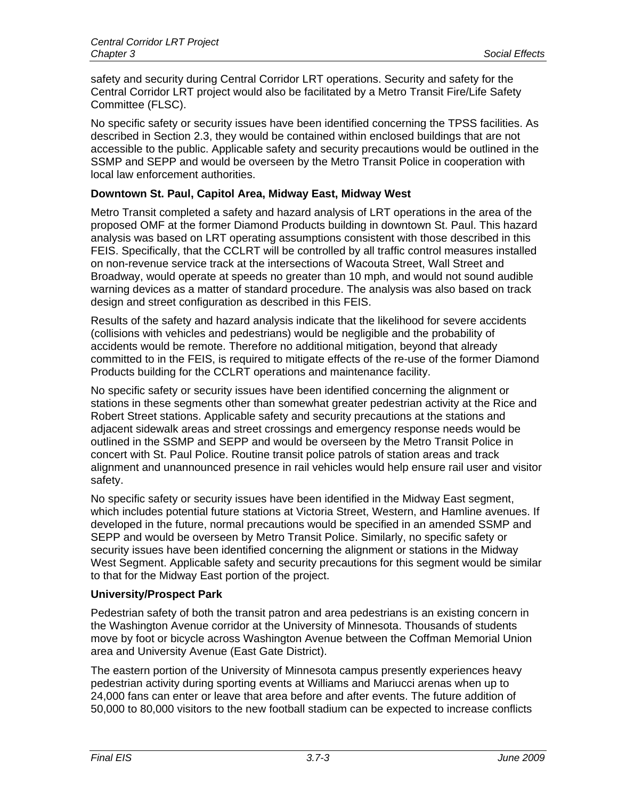safety and security during Central Corridor LRT operations. Security and safety for the Central Corridor LRT project would also be facilitated by a Metro Transit Fire/Life Safety Committee (FLSC).

No specific safety or security issues have been identified concerning the TPSS facilities. As described in Section 2.3, they would be contained within enclosed buildings that are not accessible to the public. Applicable safety and security precautions would be outlined in the SSMP and SEPP and would be overseen by the Metro Transit Police in cooperation with local law enforcement authorities.

# **Downtown St. Paul, Capitol Area, Midway East, Midway West**

Metro Transit completed a safety and hazard analysis of LRT operations in the area of the proposed OMF at the former Diamond Products building in downtown St. Paul. This hazard analysis was based on LRT operating assumptions consistent with those described in this FEIS. Specifically, that the CCLRT will be controlled by all traffic control measures installed on non-revenue service track at the intersections of Wacouta Street, Wall Street and Broadway, would operate at speeds no greater than 10 mph, and would not sound audible warning devices as a matter of standard procedure. The analysis was also based on track design and street configuration as described in this FEIS.

Results of the safety and hazard analysis indicate that the likelihood for severe accidents (collisions with vehicles and pedestrians) would be negligible and the probability of accidents would be remote. Therefore no additional mitigation, beyond that already committed to in the FEIS, is required to mitigate effects of the re-use of the former Diamond Products building for the CCLRT operations and maintenance facility.

No specific safety or security issues have been identified concerning the alignment or stations in these segments other than somewhat greater pedestrian activity at the Rice and Robert Street stations. Applicable safety and security precautions at the stations and adjacent sidewalk areas and street crossings and emergency response needs would be outlined in the SSMP and SEPP and would be overseen by the Metro Transit Police in concert with St. Paul Police. Routine transit police patrols of station areas and track alignment and unannounced presence in rail vehicles would help ensure rail user and visitor safety.

No specific safety or security issues have been identified in the Midway East segment, which includes potential future stations at Victoria Street, Western, and Hamline avenues. If developed in the future, normal precautions would be specified in an amended SSMP and SEPP and would be overseen by Metro Transit Police. Similarly, no specific safety or security issues have been identified concerning the alignment or stations in the Midway West Segment. Applicable safety and security precautions for this segment would be similar to that for the Midway East portion of the project.

### **University/Prospect Park**

Pedestrian safety of both the transit patron and area pedestrians is an existing concern in the Washington Avenue corridor at the University of Minnesota. Thousands of students move by foot or bicycle across Washington Avenue between the Coffman Memorial Union area and University Avenue (East Gate District).

The eastern portion of the University of Minnesota campus presently experiences heavy pedestrian activity during sporting events at Williams and Mariucci arenas when up to 24,000 fans can enter or leave that area before and after events. The future addition of 50,000 to 80,000 visitors to the new football stadium can be expected to increase conflicts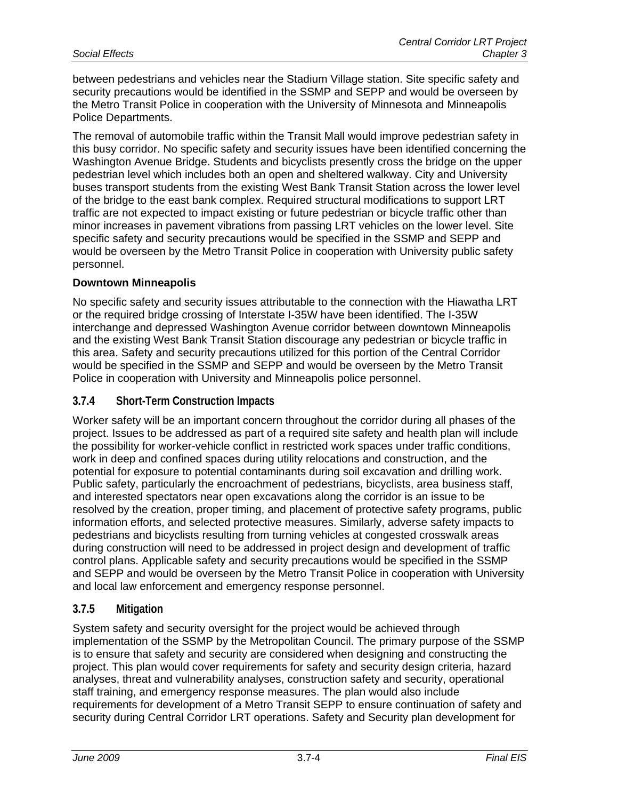between pedestrians and vehicles near the Stadium Village station. Site specific safety and security precautions would be identified in the SSMP and SEPP and would be overseen by the Metro Transit Police in cooperation with the University of Minnesota and Minneapolis Police Departments.

The removal of automobile traffic within the Transit Mall would improve pedestrian safety in this busy corridor. No specific safety and security issues have been identified concerning the Washington Avenue Bridge. Students and bicyclists presently cross the bridge on the upper pedestrian level which includes both an open and sheltered walkway. City and University buses transport students from the existing West Bank Transit Station across the lower level of the bridge to the east bank complex. Required structural modifications to support LRT traffic are not expected to impact existing or future pedestrian or bicycle traffic other than minor increases in pavement vibrations from passing LRT vehicles on the lower level. Site specific safety and security precautions would be specified in the SSMP and SEPP and would be overseen by the Metro Transit Police in cooperation with University public safety personnel.

### **Downtown Minneapolis**

No specific safety and security issues attributable to the connection with the Hiawatha LRT or the required bridge crossing of Interstate I-35W have been identified. The I-35W interchange and depressed Washington Avenue corridor between downtown Minneapolis and the existing West Bank Transit Station discourage any pedestrian or bicycle traffic in this area. Safety and security precautions utilized for this portion of the Central Corridor would be specified in the SSMP and SEPP and would be overseen by the Metro Transit Police in cooperation with University and Minneapolis police personnel.

# **3.7.4 Short-Term Construction Impacts**

Worker safety will be an important concern throughout the corridor during all phases of the project. Issues to be addressed as part of a required site safety and health plan will include the possibility for worker-vehicle conflict in restricted work spaces under traffic conditions, work in deep and confined spaces during utility relocations and construction, and the potential for exposure to potential contaminants during soil excavation and drilling work. Public safety, particularly the encroachment of pedestrians, bicyclists, area business staff, and interested spectators near open excavations along the corridor is an issue to be resolved by the creation, proper timing, and placement of protective safety programs, public information efforts, and selected protective measures. Similarly, adverse safety impacts to pedestrians and bicyclists resulting from turning vehicles at congested crosswalk areas during construction will need to be addressed in project design and development of traffic control plans. Applicable safety and security precautions would be specified in the SSMP and SEPP and would be overseen by the Metro Transit Police in cooperation with University and local law enforcement and emergency response personnel.

### **3.7.5 Mitigation**

System safety and security oversight for the project would be achieved through implementation of the SSMP by the Metropolitan Council. The primary purpose of the SSMP is to ensure that safety and security are considered when designing and constructing the project. This plan would cover requirements for safety and security design criteria, hazard analyses, threat and vulnerability analyses, construction safety and security, operational staff training, and emergency response measures. The plan would also include requirements for development of a Metro Transit SEPP to ensure continuation of safety and security during Central Corridor LRT operations. Safety and Security plan development for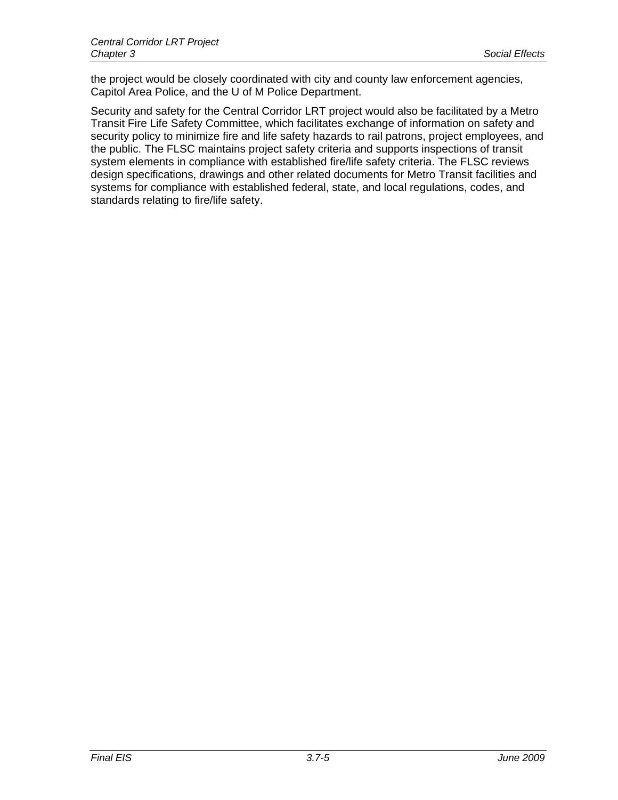the project would be closely coordinated with city and county law enforcement agencies, Capitol Area Police, and the U of M Police Department.

Security and safety for the Central Corridor LRT project would also be facilitated by a Metro Transit Fire Life Safety Committee, which facilitates exchange of information on safety and security policy to minimize fire and life safety hazards to rail patrons, project employees, and the public. The FLSC maintains project safety criteria and supports inspections of transit system elements in compliance with established fire/life safety criteria. The FLSC reviews design specifications, drawings and other related documents for Metro Transit facilities and systems for compliance with established federal, state, and local regulations, codes, and standards relating to fire/life safety.